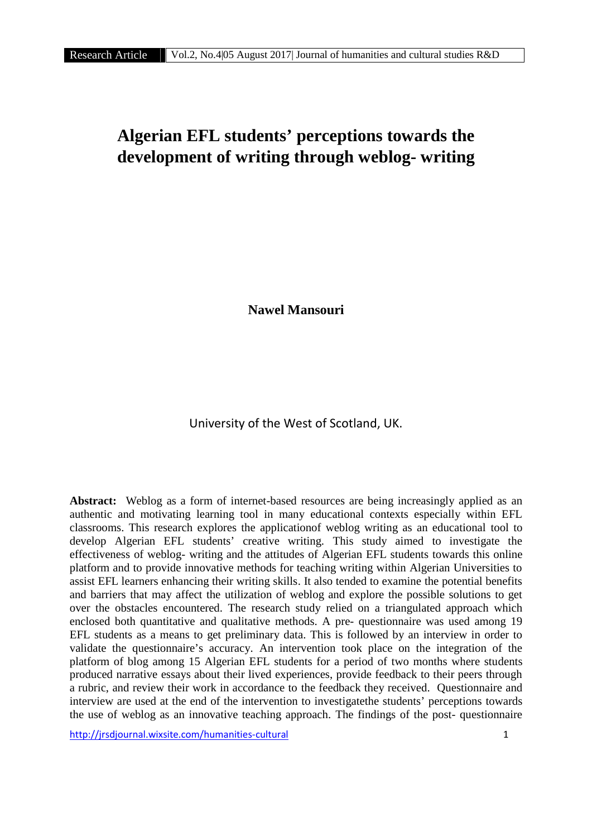# **Algerian EFL students' perceptions towards the development of writing through weblog- writing**

**Nawel Mansouri**

## University of the West of Scotland, UK.

Abstract: Weblog as a form of internet-based resources are being increasingly applied as an authentic and motivating learning tool in many educational contexts especially within EFL classrooms. This research explores the applicationof weblog writing as an educational tool to develop Algerian EFL students' creative writing. This study aimed to investigate the effectiveness of weblog- writing and the attitudes of Algerian EFL students towards this online platform and to provide innovative methods for teaching writing within Algerian Universities to assist EFL learners enhancing their writing skills. It also tended to examine the potential benefits and barriers that may affect the utilization of weblog and explore the possible solutions to get over the obstacles encountered. The research study relied on a triangulated approach which enclosed both quantitative and qualitative methods. A pre- questionnaire was used among 19 EFL students as a means to get preliminary data. This is followed by an interview in order to validate the questionnaire's accuracy. An intervention took place on the integration of the platform of blog among 15 Algerian EFL students for a period of two months where students produced narrative essays about their lived experiences, provide feedback to their peers through a rubric, and review their work in accordance to the feedback they received. Questionnaire and interview are used at the end of the intervention to investigatethe students' perceptions towards the use of weblog as an innovative teaching approach. The findings of the post- questionnaire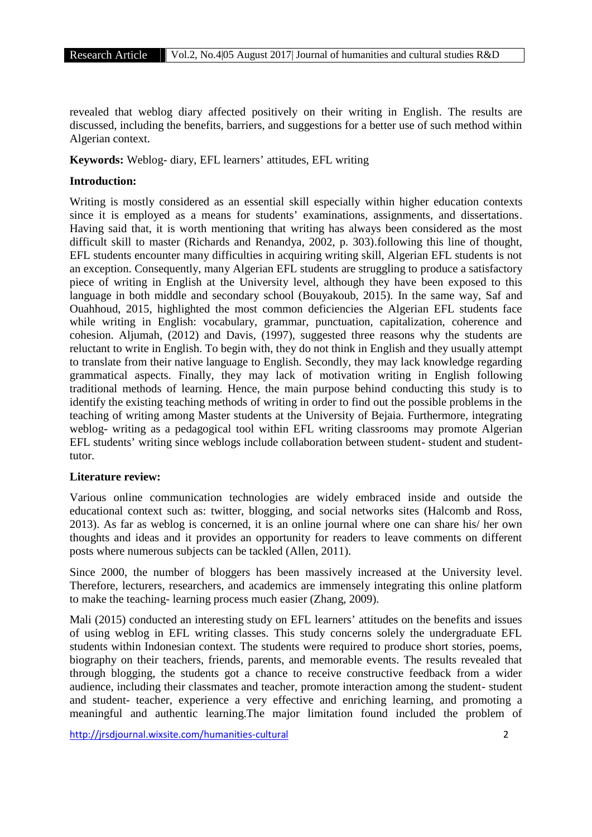revealed that weblog diary affected positively on their writing in English. The results are discussed, including the benefits, barriers, and suggestions for a better use of such method within Algerian context.

**Keywords:** Weblog- diary, EFL learners' attitudes, EFL writing

#### **Introduction:**

Writing is mostly considered as an essential skill especially within higher education contexts since it is employed as a means for students' examinations, assignments, and dissertations. Having said that, it is worth mentioning that writing has always been considered as the most difficult skill to master (Richards and Renandya, 2002, p. 303).following this line of thought, EFL students encounter many difficulties in acquiring writing skill, Algerian EFL students is not an exception. Consequently, many Algerian EFL students are struggling to produce a satisfactory piece of writing in English at the University level, although they have been exposed to this language in both middle and secondary school (Bouyakoub, 2015). In the same way, Saf and Ouahhoud, 2015, highlighted the most common deficiencies the Algerian EFL students face while writing in English: vocabulary, grammar, punctuation, capitalization, coherence and cohesion. Aljumah, (2012) and Davis, (1997), suggested three reasons why the students are reluctant to write in English. To begin with, they do not think in English and they usually attempt to translate from their native language to English. Secondly, they may lack knowledge regarding grammatical aspects. Finally, they may lack of motivation writing in English following traditional methods of learning. Hence, the main purpose behind conducting this study is to identify the existing teaching methods of writing in order to find out the possible problems in the teaching of writing among Master students at the University of Bejaia. Furthermore, integrating weblog- writing as a pedagogical tool within EFL writing classrooms may promote Algerian EFL students' writing since weblogs include collaboration between student- student and studenttutor.

#### **Literature review:**

Various online communication technologies are widely embraced inside and outside the educational context such as: twitter, blogging, and social networks sites (Halcomb and Ross, 2013). As far as weblog is concerned, it is an online journal where one can share his/ her own thoughts and ideas and it provides an opportunity for readers to leave comments on different posts where numerous subjects can be tackled (Allen, 2011).

Since 2000, the number of bloggers has been massively increased at the University level. Therefore, lecturers, researchers, and academics are immensely integrating this online platform to make the teaching- learning process much easier (Zhang, 2009).

Mali (2015) conducted an interesting study on EFL learners' attitudes on the benefits and issues of using weblog in EFL writing classes. This study concerns solely the undergraduate EFL students within Indonesian context. The students were required to produce short stories, poems, biography on their teachers, friends, parents, and memorable events. The results revealed that through blogging, the students got a chance to receive constructive feedback from a wider audience, including their classmates and teacher, promote interaction among the student- student and student- teacher, experience a very effective and enriching learning, and promoting a meaningful and authentic learning.The major limitation found included the problem of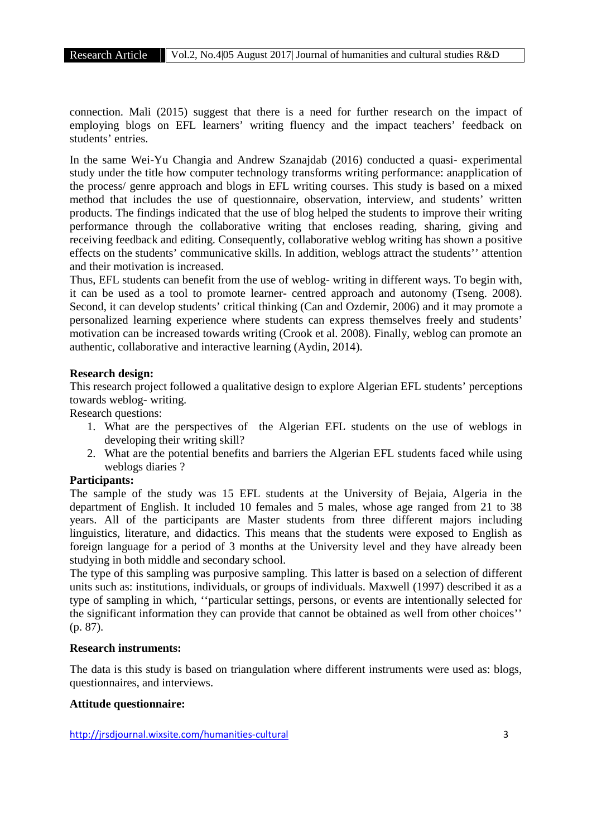connection. Mali (2015) suggest that there is a need for further research on the impact of employing blogs on EFL learners' writing fluency and the impact teachers' feedback on students' entries.

In the same Wei-Yu Changia and Andrew Szanajdab (2016) conducted a quasi- experimental study under the title how computer technology transforms writing performance: anapplication of the process/ genre approach and blogs in EFL writing courses. This study is based on a mixed method that includes the use of questionnaire, observation, interview, and students' written products. The findings indicated that the use of blog helped the students to improve their writing performance through the collaborative writing that encloses reading, sharing, giving and receiving feedback and editing. Consequently, collaborative weblog writing has shown a positive effects on the students' communicative skills. In addition, weblogs attract the students'' attention and their motivation is increased.

Thus, EFL students can benefit from the use of weblog- writing in different ways. To begin with, it can be used as a tool to promote learner- centred approach and autonomy (Tseng. 2008). Second, it can develop students' critical thinking (Can and Ozdemir, 2006) and it may promote a personalized learning experience where students can express themselves freely and students' motivation can be increased towards writing (Crook et al. 2008). Finally, weblog can promote an authentic, collaborative and interactive learning (Aydin, 2014).

#### **Research design:**

This research project followed a qualitative design to explore Algerian EFL students' perceptions towards weblog- writing.

Research questions:

- 1. What are the perspectives of the Algerian EFL students on the use of weblogs in developing their writing skill?
- 2. What are the potential benefits and barriers the Algerian EFL students faced while using weblogs diaries ?

## **Participants:**

The sample of the study was 15 EFL students at the University of Bejaia, Algeria in the department of English. It included 10 females and 5 males, whose age ranged from 21 to 38 years. All of the participants are Master students from three different majors including linguistics, literature, and didactics. This means that the students were exposed to English as foreign language for a period of 3 months at the University level and they have already been studying in both middle and secondary school.

The type of this sampling was purposive sampling. This latter is based on a selection of different units such as: institutions, individuals, or groups of individuals. Maxwell (1997) described it as a type of sampling in which, ''particular settings, persons, or events are intentionally selected for the significant information they can provide that cannot be obtained as well from other choices'' (p. 87).

## **Research instruments:**

The data is this study is based on triangulation where different instruments were used as: blogs, questionnaires, and interviews.

## **Attitude questionnaire:**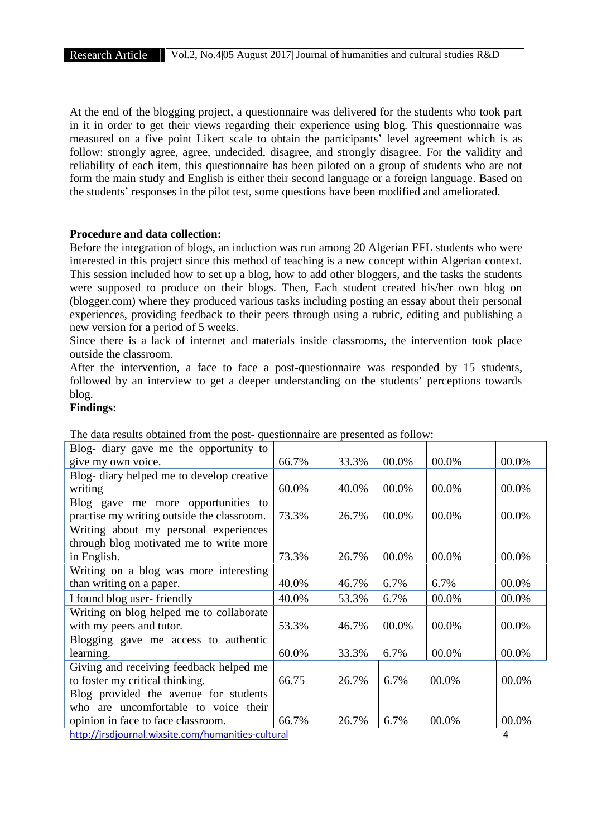At the end of the blogging project, a questionnaire was delivered for the students who took part in it in order to get their views regarding their experience using blog. This questionnaire was measured on a five point Likert scale to obtain the participants' level agreement which is as follow: strongly agree, agree, undecided, disagree, and strongly disagree. For the validity and reliability of each item, this questionnaire has been piloted on a group of students who are not form the main study and English is either their second language or a foreign language. Based on the students' responses in the pilot test, some questions have been modified and ameliorated.

#### **Procedure and data collection:**

Before the integration of blogs, an induction was run among 20 Algerian EFL students who were interested in this project since this method of teaching is a new concept within Algerian context. This session included how to set up a blog, how to add other bloggers, and the tasks the students were supposed to produce on their blogs. Then, Each student created his/her own blog on (blogger.com) where they produced various tasks including posting an essay about their personal experiences, providing feedback to their peers through using a rubric, editing and publishing a new version for a period of 5 weeks.

Since there is a lack of internet and materials inside classrooms, the intervention took place outside the classroom.

After the intervention, a face to face a post-questionnaire was responded by 15 students, followed by an interview to get a deeper understanding on the students' perceptions towards blog.

## **Findings:**

| Blog- diary gave me the opportunity to             |       |       |       |       |       |  |
|----------------------------------------------------|-------|-------|-------|-------|-------|--|
| give my own voice.                                 | 66.7% | 33.3% | 00.0% | 00.0% | 00.0% |  |
| Blog-diary helped me to develop creative           |       |       |       |       |       |  |
| writing                                            | 60.0% | 40.0% | 00.0% | 00.0% | 00.0% |  |
| Blog gave me more opportunities to                 |       |       |       |       |       |  |
| practise my writing outside the classroom.         | 73.3% | 26.7% | 00.0% | 00.0% | 00.0% |  |
| Writing about my personal experiences              |       |       |       |       |       |  |
| through blog motivated me to write more            |       |       |       |       |       |  |
| in English.                                        | 73.3% | 26.7% | 00.0% | 00.0% | 00.0% |  |
| Writing on a blog was more interesting             |       |       |       |       |       |  |
| than writing on a paper.                           | 40.0% | 46.7% | 6.7%  | 6.7%  | 00.0% |  |
| I found blog user-friendly                         | 40.0% | 53.3% | 6.7%  | 00.0% | 00.0% |  |
| Writing on blog helped me to collaborate           |       |       |       |       |       |  |
| with my peers and tutor.                           | 53.3% | 46.7% | 00.0% | 00.0% | 00.0% |  |
| Blogging gave me access to authentic               |       |       |       |       |       |  |
| learning.                                          | 60.0% | 33.3% | 6.7%  | 00.0% | 00.0% |  |
| Giving and receiving feedback helped me            |       |       |       |       |       |  |
| to foster my critical thinking.                    | 66.75 | 26.7% | 6.7%  | 00.0% | 00.0% |  |
| Blog provided the avenue for students              |       |       |       |       |       |  |
| who are uncomfortable to voice their               |       |       |       |       |       |  |
| opinion in face to face classroom.                 | 66.7% | 26.7% | 6.7%  | 00.0% | 00.0% |  |
| http://jrsdjournal.wixsite.com/humanities-cultural |       |       |       |       |       |  |

The data results obtained from the post- questionnaire are presented as follow: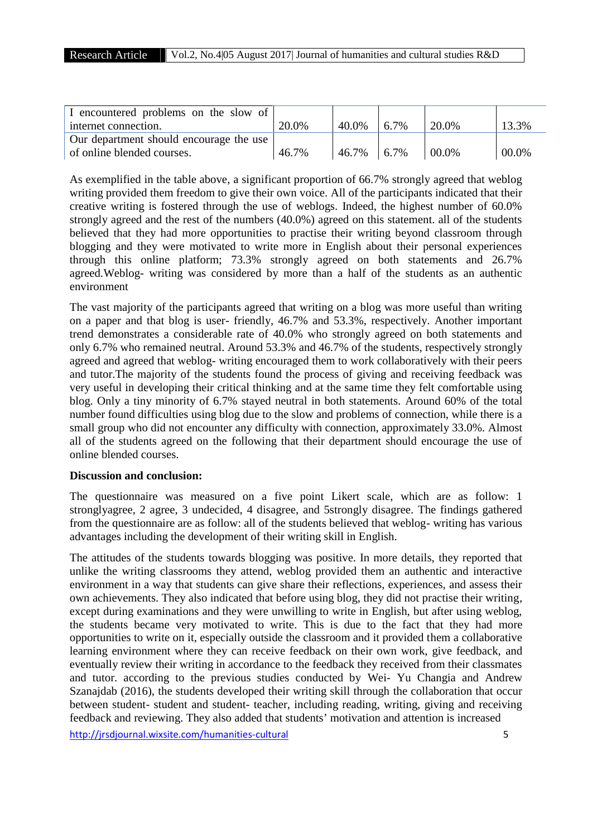| I encountered problems on the slow of   |       |            |      |       |       |
|-----------------------------------------|-------|------------|------|-------|-------|
| internet connection.                    | 20.0% | 40.0%      | 6.7% | 20.0% | 13.3% |
| Our department should encourage the use |       |            |      |       |       |
| of online blended courses.              | 46.7% | 46.7% 6.7% |      | 00.0% | 00.0% |

As exemplified in the table above, a significant proportion of 66.7% strongly agreed that weblog writing provided them freedom to give their own voice. All of the participants indicated that their creative writing is fostered through the use of weblogs. Indeed, the highest number of 60.0% strongly agreed and the rest of the numbers (40.0%) agreed on this statement. all of the students believed that they had more opportunities to practise their writing beyond classroom through blogging and they were motivated to write more in English about their personal experiences through this online platform; 73.3% strongly agreed on both statements and 26.7% agreed.Weblog- writing was considered by more than a half of the students as an authentic environment

The vast majority of the participants agreed that writing on a blog was more useful than writing on a paper and that blog is user- friendly, 46.7% and 53.3%, respectively. Another important trend demonstrates a considerable rate of 40.0% who strongly agreed on both statements and only 6.7% who remained neutral. Around 53.3% and 46.7% of the students, respectively strongly agreed and agreed that weblog- writing encouraged them to work collaboratively with their peers and tutor.The majority of the students found the process of giving and receiving feedback was very useful in developing their critical thinking and at the same time they felt comfortable using blog. Only a tiny minority of 6.7% stayed neutral in both statements. Around 60% of the total number found difficulties using blog due to the slow and problems of connection, while there is a small group who did not encounter any difficulty with connection, approximately 33.0%. Almost all of the students agreed on the following that their department should encourage the use of online blended courses.

## **Discussion and conclusion:**

The questionnaire was measured on a five point Likert scale, which are as follow: 1 stronglyagree, 2 agree, 3 undecided, 4 disagree, and 5strongly disagree. The findings gathered from the questionnaire are as follow: all of the students believed that weblog- writing has various advantages including the development of their writing skill in English.

The attitudes of the students towards blogging was positive. In more details, they reported that unlike the writing classrooms they attend, weblog provided them an authentic and interactive environment in a way that students can give share their reflections, experiences, and assess their own achievements. They also indicated that before using blog, they did not practise their writing, except during examinations and they were unwilling to write in English, but after using weblog, the students became very motivated to write. This is due to the fact that they had more opportunities to write on it, especially outside the classroom and it provided them a collaborative learning environment where they can receive feedback on their own work, give feedback, and eventually review their writing in accordance to the feedback they received from their classmates and tutor. according to the previous studies conducted by Wei- Yu Changia and Andrew Szanajdab (2016), the students developed their writing skill through the collaboration that occur between student- student and student- teacher, including reading, writing, giving and receiving feedback and reviewing. They also added that students' motivation and attention is increased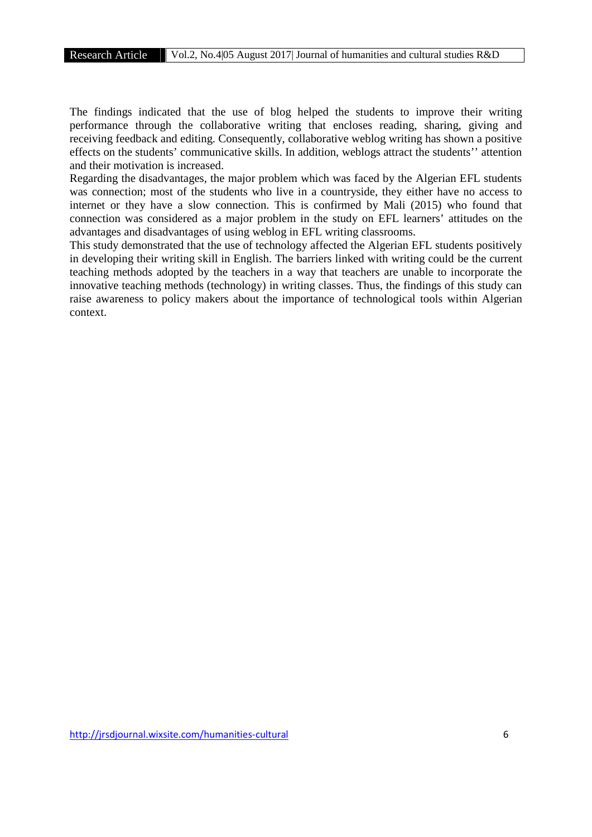The findings indicated that the use of blog helped the students to improve their writing performance through the collaborative writing that encloses reading, sharing, giving and receiving feedback and editing. Consequently, collaborative weblog writing has shown a positive effects on the students' communicative skills. In addition, weblogs attract the students'' attention and their motivation is increased.

Regarding the disadvantages, the major problem which was faced by the Algerian EFL students was connection; most of the students who live in a countryside, they either have no access to internet or they have a slow connection. This is confirmed by Mali (2015) who found that connection was considered as a major problem in the study on EFL learners' attitudes on the advantages and disadvantages of using weblog in EFL writing classrooms.

This study demonstrated that the use of technology affected the Algerian EFL students positively in developing their writing skill in English. The barriers linked with writing could be the current teaching methods adopted by the teachers in a way that teachers are unable to incorporate the innovative teaching methods (technology) in writing classes. Thus, the findings of this study can raise awareness to policy makers about the importance of technological tools within Algerian context.